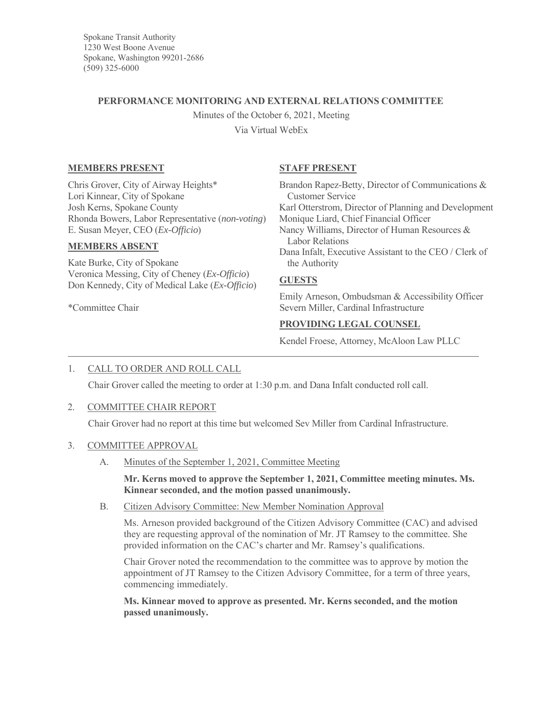Spokane Transit Authority 1230 West Boone Avenue Spokane, Washington 99201-2686 (509) 325-6000

## **PERFORMANCE MONITORING AND EXTERNAL RELATIONS COMMITTEE**

Minutes of the October 6, 2021, Meeting

Via Virtual WebEx

# **MEMBERS PRESENT**

Chris Grover, City of Airway Heights\* Lori Kinnear, City of Spokane Josh Kerns, Spokane County Rhonda Bowers, Labor Representative (*non-voting*) E. Susan Meyer, CEO (*Ex-Officio*)

## **MEMBERS ABSENT**

Kate Burke, City of Spokane Veronica Messing, City of Cheney (*Ex-Officio*) Don Kennedy, City of Medical Lake (*Ex-Officio*)

\*Committee Chair

# **STAFF PRESENT**

Brandon Rapez-Betty, Director of Communications & Customer Service Karl Otterstrom, Director of Planning and Development Monique Liard, Chief Financial Officer Nancy Williams, Director of Human Resources & Labor Relations Dana Infalt, Executive Assistant to the CEO / Clerk of the Authority

## **GUESTS**

Emily Arneson, Ombudsman & Accessibility Officer Severn Miller, Cardinal Infrastructure

# **PROVIDING LEGAL COUNSEL**

Kendel Froese, Attorney, McAloon Law PLLC

# 1. CALL TO ORDER AND ROLL CALL

Chair Grover called the meeting to order at 1:30 p.m. and Dana Infalt conducted roll call.

## 2. COMMITTEE CHAIR REPORT

Chair Grover had no report at this time but welcomed Sev Miller from Cardinal Infrastructure.

## 3. COMMITTEE APPROVAL

A. Minutes of the September 1, 2021, Committee Meeting

**Mr. Kerns moved to approve the September 1, 2021, Committee meeting minutes. Ms. Kinnear seconded, and the motion passed unanimously.**

B. Citizen Advisory Committee: New Member Nomination Approval

Ms. Arneson provided background of the Citizen Advisory Committee (CAC) and advised they are requesting approval of the nomination of Mr. JT Ramsey to the committee. She provided information on the CAC's charter and Mr. Ramsey's qualifications.

Chair Grover noted the recommendation to the committee was to approve by motion the appointment of JT Ramsey to the Citizen Advisory Committee, for a term of three years, commencing immediately.

**Ms. Kinnear moved to approve as presented. Mr. Kerns seconded, and the motion passed unanimously.**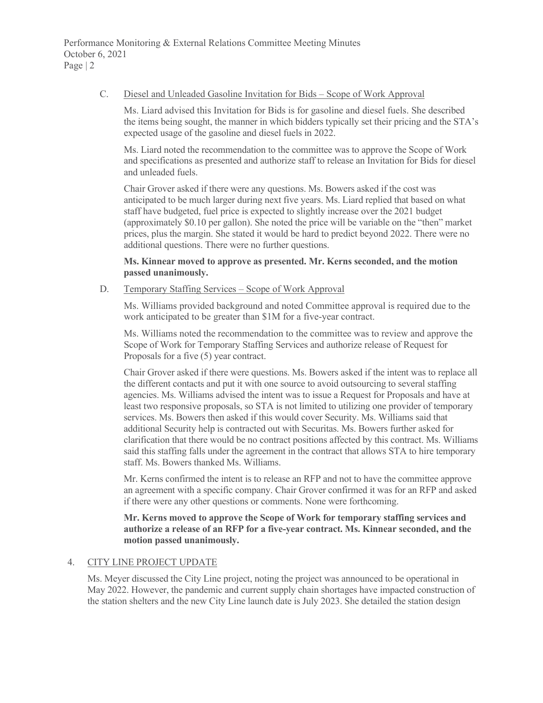#### C. Diesel and Unleaded Gasoline Invitation for Bids – Scope of Work Approval

Ms. Liard advised this Invitation for Bids is for gasoline and diesel fuels. She described the items being sought, the manner in which bidders typically set their pricing and the STA's expected usage of the gasoline and diesel fuels in 2022.

Ms. Liard noted the recommendation to the committee was to approve the Scope of Work and specifications as presented and authorize staff to release an Invitation for Bids for diesel and unleaded fuels.

Chair Grover asked if there were any questions. Ms. Bowers asked if the cost was anticipated to be much larger during next five years. Ms. Liard replied that based on what staff have budgeted, fuel price is expected to slightly increase over the 2021 budget (approximately \$0.10 per gallon). She noted the price will be variable on the "then" market prices, plus the margin. She stated it would be hard to predict beyond 2022. There were no additional questions. There were no further questions.

### **Ms. Kinnear moved to approve as presented. Mr. Kerns seconded, and the motion passed unanimously.**

#### D. Temporary Staffing Services – Scope of Work Approval

Ms. Williams provided background and noted Committee approval is required due to the work anticipated to be greater than \$1M for a five-year contract.

Ms. Williams noted the recommendation to the committee was to review and approve the Scope of Work for Temporary Staffing Services and authorize release of Request for Proposals for a five (5) year contract.

Chair Grover asked if there were questions. Ms. Bowers asked if the intent was to replace all the different contacts and put it with one source to avoid outsourcing to several staffing agencies. Ms. Williams advised the intent was to issue a Request for Proposals and have at least two responsive proposals, so STA is not limited to utilizing one provider of temporary services. Ms. Bowers then asked if this would cover Security. Ms. Williams said that additional Security help is contracted out with Securitas. Ms. Bowers further asked for clarification that there would be no contract positions affected by this contract. Ms. Williams said this staffing falls under the agreement in the contract that allows STA to hire temporary staff. Ms. Bowers thanked Ms. Williams.

Mr. Kerns confirmed the intent is to release an RFP and not to have the committee approve an agreement with a specific company. Chair Grover confirmed it was for an RFP and asked if there were any other questions or comments. None were forthcoming.

**Mr. Kerns moved to approve the Scope of Work for temporary staffing services and authorize a release of an RFP for a five-year contract. Ms. Kinnear seconded, and the motion passed unanimously.**

## 4. CITY LINE PROJECT UPDATE

Ms. Meyer discussed the City Line project, noting the project was announced to be operational in May 2022. However, the pandemic and current supply chain shortages have impacted construction of the station shelters and the new City Line launch date is July 2023. She detailed the station design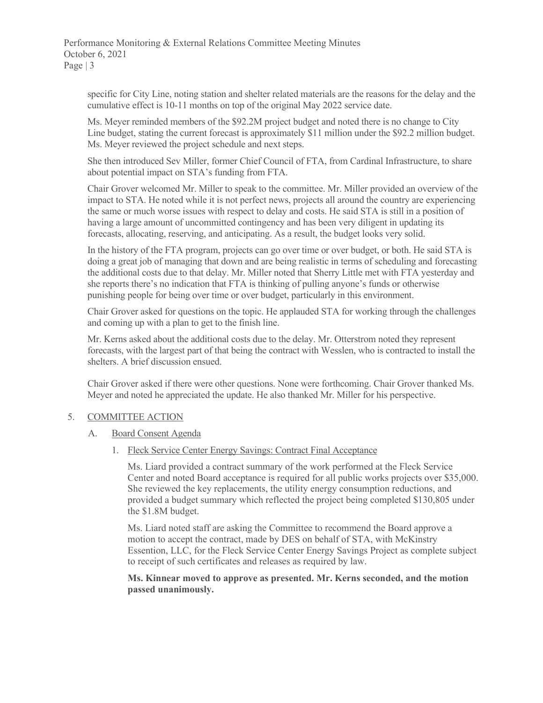Performance Monitoring & External Relations Committee Meeting Minutes October 6, 2021 Page | 3

specific for City Line, noting station and shelter related materials are the reasons for the delay and the cumulative effect is 10-11 months on top of the original May 2022 service date.

Ms. Meyer reminded members of the \$92.2M project budget and noted there is no change to City Line budget, stating the current forecast is approximately \$11 million under the \$92.2 million budget. Ms. Meyer reviewed the project schedule and next steps.

She then introduced Sev Miller, former Chief Council of FTA, from Cardinal Infrastructure, to share about potential impact on STA's funding from FTA.

Chair Grover welcomed Mr. Miller to speak to the committee. Mr. Miller provided an overview of the impact to STA. He noted while it is not perfect news, projects all around the country are experiencing the same or much worse issues with respect to delay and costs. He said STA is still in a position of having a large amount of uncommitted contingency and has been very diligent in updating its forecasts, allocating, reserving, and anticipating. As a result, the budget looks very solid.

In the history of the FTA program, projects can go over time or over budget, or both. He said STA is doing a great job of managing that down and are being realistic in terms of scheduling and forecasting the additional costs due to that delay. Mr. Miller noted that Sherry Little met with FTA yesterday and she reports there's no indication that FTA is thinking of pulling anyone's funds or otherwise punishing people for being over time or over budget, particularly in this environment.

Chair Grover asked for questions on the topic. He applauded STA for working through the challenges and coming up with a plan to get to the finish line.

Mr. Kerns asked about the additional costs due to the delay. Mr. Otterstrom noted they represent forecasts, with the largest part of that being the contract with Wesslen, who is contracted to install the shelters. A brief discussion ensued.

Chair Grover asked if there were other questions. None were forthcoming. Chair Grover thanked Ms. Meyer and noted he appreciated the update. He also thanked Mr. Miller for his perspective.

## 5. COMMITTEE ACTION

## A. Board Consent Agenda

1. Fleck Service Center Energy Savings: Contract Final Acceptance

Ms. Liard provided a contract summary of the work performed at the Fleck Service Center and noted Board acceptance is required for all public works projects over \$35,000. She reviewed the key replacements, the utility energy consumption reductions, and provided a budget summary which reflected the project being completed \$130,805 under the \$1.8M budget.

Ms. Liard noted staff are asking the Committee to recommend the Board approve a motion to accept the contract, made by DES on behalf of STA, with McKinstry Essention, LLC, for the Fleck Service Center Energy Savings Project as complete subject to receipt of such certificates and releases as required by law.

#### **Ms. Kinnear moved to approve as presented. Mr. Kerns seconded, and the motion passed unanimously.**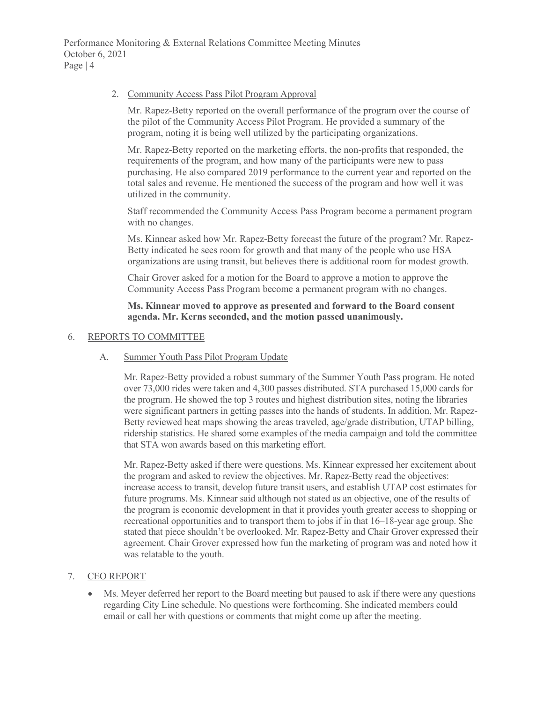Performance Monitoring & External Relations Committee Meeting Minutes October 6, 2021 Page | 4

#### 2. Community Access Pass Pilot Program Approval

Mr. Rapez-Betty reported on the overall performance of the program over the course of the pilot of the Community Access Pilot Program. He provided a summary of the program, noting it is being well utilized by the participating organizations.

Mr. Rapez-Betty reported on the marketing efforts, the non-profits that responded, the requirements of the program, and how many of the participants were new to pass purchasing. He also compared 2019 performance to the current year and reported on the total sales and revenue. He mentioned the success of the program and how well it was utilized in the community.

Staff recommended the Community Access Pass Program become a permanent program with no changes.

Ms. Kinnear asked how Mr. Rapez-Betty forecast the future of the program? Mr. Rapez-Betty indicated he sees room for growth and that many of the people who use HSA organizations are using transit, but believes there is additional room for modest growth.

Chair Grover asked for a motion for the Board to approve a motion to approve the Community Access Pass Program become a permanent program with no changes.

**Ms. Kinnear moved to approve as presented and forward to the Board consent agenda. Mr. Kerns seconded, and the motion passed unanimously.**

#### 6. REPORTS TO COMMITTEE

#### A. Summer Youth Pass Pilot Program Update

Mr. Rapez-Betty provided a robust summary of the Summer Youth Pass program. He noted over 73,000 rides were taken and 4,300 passes distributed. STA purchased 15,000 cards for the program. He showed the top 3 routes and highest distribution sites, noting the libraries were significant partners in getting passes into the hands of students. In addition, Mr. Rapez-Betty reviewed heat maps showing the areas traveled, age/grade distribution, UTAP billing, ridership statistics. He shared some examples of the media campaign and told the committee that STA won awards based on this marketing effort.

Mr. Rapez-Betty asked if there were questions. Ms. Kinnear expressed her excitement about the program and asked to review the objectives. Mr. Rapez-Betty read the objectives: increase access to transit, develop future transit users, and establish UTAP cost estimates for future programs. Ms. Kinnear said although not stated as an objective, one of the results of the program is economic development in that it provides youth greater access to shopping or recreational opportunities and to transport them to jobs if in that 16–18-year age group. She stated that piece shouldn't be overlooked. Mr. Rapez-Betty and Chair Grover expressed their agreement. Chair Grover expressed how fun the marketing of program was and noted how it was relatable to the youth.

## 7. CEO REPORT

Ms. Meyer deferred her report to the Board meeting but paused to ask if there were any questions regarding City Line schedule. No questions were forthcoming. She indicated members could email or call her with questions or comments that might come up after the meeting.